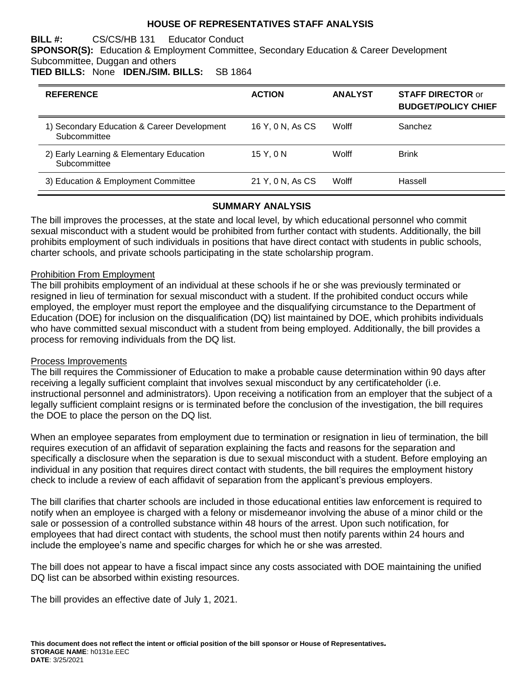### **HOUSE OF REPRESENTATIVES STAFF ANALYSIS**

**BILL #:** CS/CS/HB 131 Educator Conduct

**SPONSOR(S):** Education & Employment Committee, Secondary Education & Career Development Subcommittee, Duggan and others

**TIED BILLS:** None **IDEN./SIM. BILLS:** SB 1864

| <b>REFERENCE</b>                                            | <b>ACTION</b>    | <b>ANALYST</b> | <b>STAFF DIRECTOR or</b><br><b>BUDGET/POLICY CHIEF</b> |
|-------------------------------------------------------------|------------------|----------------|--------------------------------------------------------|
| 1) Secondary Education & Career Development<br>Subcommittee | 16 Y, 0 N, As CS | Wolff          | Sanchez                                                |
| 2) Early Learning & Elementary Education<br>Subcommittee    | 15 Y.ON          | Wolff          | <b>Brink</b>                                           |
| 3) Education & Employment Committee                         | 21 Y, 0 N, As CS | Wolff          | Hassell                                                |

### **SUMMARY ANALYSIS**

The bill improves the processes, at the state and local level, by which educational personnel who commit sexual misconduct with a student would be prohibited from further contact with students. Additionally, the bill prohibits employment of such individuals in positions that have direct contact with students in public schools, charter schools, and private schools participating in the state scholarship program.

### Prohibition From Employment

The bill prohibits employment of an individual at these schools if he or she was previously terminated or resigned in lieu of termination for sexual misconduct with a student. If the prohibited conduct occurs while employed, the employer must report the employee and the disqualifying circumstance to the Department of Education (DOE) for inclusion on the disqualification (DQ) list maintained by DOE, which prohibits individuals who have committed sexual misconduct with a student from being employed. Additionally, the bill provides a process for removing individuals from the DQ list.

### Process Improvements

The bill requires the Commissioner of Education to make a probable cause determination within 90 days after receiving a legally sufficient complaint that involves sexual misconduct by any certificateholder (i.e. instructional personnel and administrators). Upon receiving a notification from an employer that the subject of a legally sufficient complaint resigns or is terminated before the conclusion of the investigation, the bill requires the DOE to place the person on the DQ list.

When an employee separates from employment due to termination or resignation in lieu of termination, the bill requires execution of an affidavit of separation explaining the facts and reasons for the separation and specifically a disclosure when the separation is due to sexual misconduct with a student. Before employing an individual in any position that requires direct contact with students, the bill requires the employment history check to include a review of each affidavit of separation from the applicant's previous employers.

The bill clarifies that charter schools are included in those educational entities law enforcement is required to notify when an employee is charged with a felony or misdemeanor involving the abuse of a minor child or the sale or possession of a controlled substance within 48 hours of the arrest. Upon such notification, for employees that had direct contact with students, the school must then notify parents within 24 hours and include the employee's name and specific charges for which he or she was arrested.

The bill does not appear to have a fiscal impact since any costs associated with DOE maintaining the unified DQ list can be absorbed within existing resources.

The bill provides an effective date of July 1, 2021.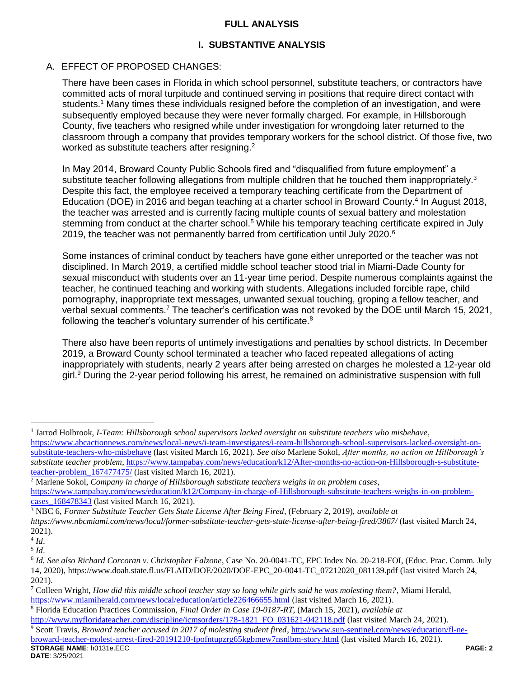# **FULL ANALYSIS**

# **I. SUBSTANTIVE ANALYSIS**

# A. EFFECT OF PROPOSED CHANGES:

There have been cases in Florida in which school personnel, substitute teachers, or contractors have committed acts of moral turpitude and continued serving in positions that require direct contact with students.<sup>1</sup> Many times these individuals resigned before the completion of an investigation, and were subsequently employed because they were never formally charged. For example, in Hillsborough County, five teachers who resigned while under investigation for wrongdoing later returned to the classroom through a company that provides temporary workers for the school district. Of those five, two worked as substitute teachers after resigning.<sup>2</sup>

In May 2014, Broward County Public Schools fired and "disqualified from future employment" a substitute teacher following allegations from multiple children that he touched them inappropriately.<sup>3</sup> Despite this fact, the employee received a temporary teaching certificate from the Department of Education (DOE) in 2016 and began teaching at a charter school in Broward County.<sup>4</sup> In August 2018, the teacher was arrested and is currently facing multiple counts of sexual battery and molestation stemming from conduct at the charter school.<sup>5</sup> While his temporary teaching certificate expired in July 2019, the teacher was not permanently barred from certification until July 2020. $6$ 

Some instances of criminal conduct by teachers have gone either unreported or the teacher was not disciplined. In March 2019, a certified middle school teacher stood trial in Miami-Dade County for sexual misconduct with students over an 11-year time period. Despite numerous complaints against the teacher, he continued teaching and working with students. Allegations included forcible rape, child pornography, inappropriate text messages, unwanted sexual touching, groping a fellow teacher, and verbal sexual comments.<sup>7</sup> The teacher's certification was not revoked by the DOE until March 15, 2021, following the teacher's voluntary surrender of his certificate.<sup>8</sup>

There also have been reports of untimely investigations and penalties by school districts. In December 2019, a Broward County school terminated a teacher who faced repeated allegations of acting inappropriately with students, nearly 2 years after being arrested on charges he molested a 12-year old girl.<sup>9</sup> During the 2-year period following his arrest, he remained on administrative suspension with full

1 Jarrod Holbrook, *I-Team: Hillsborough school supervisors lacked oversight on substitute teachers who misbehave*, [https://www.abcactionnews.com/news/local-news/i-team-investigates/i-team-hillsborough-school-supervisors-lacked-oversight-on](https://www.abcactionnews.com/news/local-news/i-team-investigates/i-team-hillsborough-school-supervisors-lacked-oversight-on-substitute-teachers-who-misbehave)[substitute-teachers-who-misbehave](https://www.abcactionnews.com/news/local-news/i-team-investigates/i-team-hillsborough-school-supervisors-lacked-oversight-on-substitute-teachers-who-misbehave) (last visited March 16, 2021). *See also* Marlene Sokol, *After months, no action on Hillborough's substitute teacher problem*[, https://www.tampabay.com/news/education/k12/After-months-no-action-on-Hillsborough-s-substitute](https://www.tampabay.com/news/education/k12/After-months-no-action-on-Hillsborough-s-substitute-teacher-problem_167477475/)[teacher-problem\\_167477475/](https://www.tampabay.com/news/education/k12/After-months-no-action-on-Hillsborough-s-substitute-teacher-problem_167477475/) (last visited March 16, 2021).

<sup>2</sup> Marlene Sokol, *Company in charge of Hillsborough substitute teachers weighs in on problem cases*, [https://www.tampabay.com/news/education/k12/Company-in-charge-of-Hillsborough-substitute-teachers-weighs-in-on-problem](https://www.tampabay.com/news/education/k12/Company-in-charge-of-Hillsborough-substitute-teachers-weighs-in-on-problem-cases_168478343)[cases\\_168478343](https://www.tampabay.com/news/education/k12/Company-in-charge-of-Hillsborough-substitute-teachers-weighs-in-on-problem-cases_168478343) (last visited March 16, 2021).

<sup>3</sup> NBC 6, *Former Substitute Teacher Gets State License After Being Fired*, (February 2, 2019), *available at* 

*https://www.nbcmiami.com/news/local/former-substitute-teacher-gets-state-license-after-being-fired/3867/* (last visited March 24, 2021).

<sup>4</sup> *Id*.

<sup>5</sup> *Id*.

<sup>6</sup> *Id. See also Richard Corcoran v. Christopher Falzone*, Case No*.* 20-0041-TC, EPC Index No. 20-218-FOI, (Educ. Prac. Comm. July 14, 2020), https://www.doah.state.fl.us/FLAID/DOE/2020/DOE-EPC\_20-0041-TC\_07212020\_081139.pdf (last visited March 24, 2021).

<sup>7</sup> Colleen Wright, *How did this middle school teacher stay so long while girls said he was molesting them?*, Miami Herald, <https://www.miamiherald.com/news/local/education/article226466655.html> (last visited March 16, 2021).

<sup>8</sup> Florida Education Practices Commission, *Final Order in Case 19-0187-RT*, (March 15, 2021), *available at* [http://www.myfloridateacher.com/discipline/icmsorders/178-1821\\_FO\\_031621-042118.pdf](http://www.myfloridateacher.com/discipline/icmsorders/178-1821_FO_031621-042118.pdf) (last visited March 24, 2021).

**STORAGE NAME**: h0131e.EEC **PAGE: 2 DATE**: 3/25/2021 <sup>9</sup> Scott Travis, *Broward teacher accused in 2017 of molesting student fired*, [http://www.sun-sentinel.com/news/education/fl-ne](http://www.sun-sentinel.com/news/education/fl-ne-broward-teacher-molest-arrest-fired-20191210-fpofntupzrg65kgbmew7nsnlbm-story.html)[broward-teacher-molest-arrest-fired-20191210-fpofntupzrg65kgbmew7nsnlbm-story.html](http://www.sun-sentinel.com/news/education/fl-ne-broward-teacher-molest-arrest-fired-20191210-fpofntupzrg65kgbmew7nsnlbm-story.html) (last visited March 16, 2021).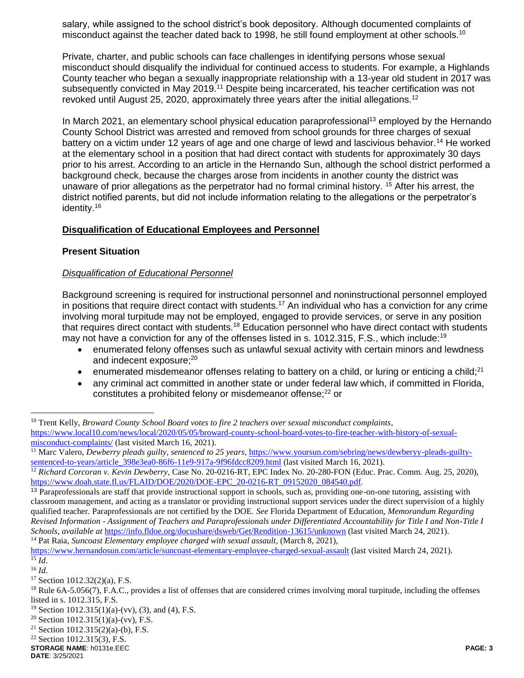salary, while assigned to the school district's book depository. Although documented complaints of misconduct against the teacher dated back to 1998, he still found employment at other schools.<sup>10</sup>

Private, charter, and public schools can face challenges in identifying persons whose sexual misconduct should disqualify the individual for continued access to students. For example, a Highlands County teacher who began a sexually inappropriate relationship with a 13-year old student in 2017 was subsequently convicted in May 2019.<sup>11</sup> Despite being incarcerated, his teacher certification was not revoked until August 25, 2020, approximately three years after the initial allegations.<sup>12</sup>

In March 2021, an elementary school physical education paraprofessional<sup>13</sup> employed by the Hernando County School District was arrested and removed from school grounds for three charges of sexual battery on a victim under 12 years of age and one charge of lewd and lascivious behavior.<sup>14</sup> He worked at the elementary school in a position that had direct contact with students for approximately 30 days prior to his arrest. According to an article in the Hernando Sun, although the school district performed a background check, because the charges arose from incidents in another county the district was unaware of prior allegations as the perpetrator had no formal criminal history. <sup>15</sup> After his arrest, the district notified parents, but did not include information relating to the allegations or the perpetrator's identity.<sup>16</sup>

### **Disqualification of Educational Employees and Personnel**

### **Present Situation**

### *Disqualification of Educational Personnel*

Background screening is required for instructional personnel and noninstructional personnel employed in positions that require direct contact with students.<sup>17</sup> An individual who has a conviction for any crime involving moral turpitude may not be employed, engaged to provide services, or serve in any position that requires direct contact with students.<sup>18</sup> Education personnel who have direct contact with students may not have a conviction for any of the offenses listed in s. 1012.315, F.S., which include:<sup>19</sup>

- enumerated felony offenses such as unlawful sexual activity with certain minors and lewdness and indecent exposure;<sup>20</sup>
- enumerated misdemeanor offenses relating to battery on a child, or luring or enticing a child;<sup>21</sup>
- any criminal act committed in another state or under federal law which, if committed in Florida, constitutes a prohibited felony or misdemeanor offense;<sup>22</sup> or

<sup>10</sup> Trent Kelly, *Broward County School Board votes to fire 2 teachers over sexual misconduct complaints*, [https://www.local10.com/news/local/2020/05/05/broward-county-school-board-votes-to-fire-teacher-with-history-of-sexual](https://www.local10.com/news/local/2020/05/05/broward-county-school-board-votes-to-fire-teacher-with-history-of-sexual-misconduct-complaints/)[misconduct-complaints/](https://www.local10.com/news/local/2020/05/05/broward-county-school-board-votes-to-fire-teacher-with-history-of-sexual-misconduct-complaints/) (last visited March 16, 2021).

<sup>11</sup> Marc Valero, *Dewberry pleads guilty, sentenced to 25 years*, [https://www.yoursun.com/sebring/news/dewberyy-pleads-guilty](https://www.yoursun.com/sebring/news/dewberyy-pleads-guilty-sentenced-to-years/article_398e3ea0-86f6-11e9-917a-9f96fdcc8209.html)[sentenced-to-years/article\\_398e3ea0-86f6-11e9-917a-9f96fdcc8209.html](https://www.yoursun.com/sebring/news/dewberyy-pleads-guilty-sentenced-to-years/article_398e3ea0-86f6-11e9-917a-9f96fdcc8209.html) (last visited March 16, 2021).

<sup>12</sup> *Richard Corcoran v. Kevin Dewberry*, Case No. 20-0216-RT, EPC Index No. 20-280-FON (Educ. Prac. Comm. Aug. 25, 2020), [https://www.doah.state.fl.us/FLAID/DOE/2020/DOE-EPC\\_20-0216-RT\\_09152020\\_084540.pdf.](https://www.doah.state.fl.us/FLAID/DOE/2020/DOE-EPC_20-0216-RT_09152020_084540.pdf)

<sup>&</sup>lt;sup>13</sup> Paraprofessionals are staff that provide instructional support in schools, such as, providing one-on-one tutoring, assisting with classroom management, and acting as a translator or providing instructional support services under the direct supervision of a highly qualified teacher. Paraprofessionals are not certified by the DOE. *See* Florida Department of Education, *Memorandum Regarding Revised Information - Assignment of Teachers and Paraprofessionals under Differentiated Accountability for Title I and Non-Title I Schools*, *available at* <https://info.fldoe.org/docushare/dsweb/Get/Rendition-13615/unknown> (last visited March 24, 2021). <sup>14</sup> Pat Raia, *Suncoast Elementary employee charged with sexual assault*, (March 8, 2021),

<https://www.hernandosun.com/article/suncoast-elementary-employee-charged-sexual-assault> (last visited March 24, 2021).

 $\overline{^{15}$  *Id.* 

<sup>16</sup> *Id*.

<sup>17</sup> Section 1012.32(2)(a), F.S.

<sup>&</sup>lt;sup>18</sup> Rule 6A-5.056(7), F.A.C., provides a list of offenses that are considered crimes involving moral turpitude, including the offenses listed in s. 1012.315, F.S.

<sup>&</sup>lt;sup>19</sup> Section 1012.315(1)(a)-(vv), (3), and (4), F.S.

<sup>&</sup>lt;sup>20</sup> Section 1012.315(1)(a)-(vv), F.S.

<sup>&</sup>lt;sup>21</sup> Section 1012.315(2)(a)-(b), F.S.

 $22$  Section 1012.315(3), F.S.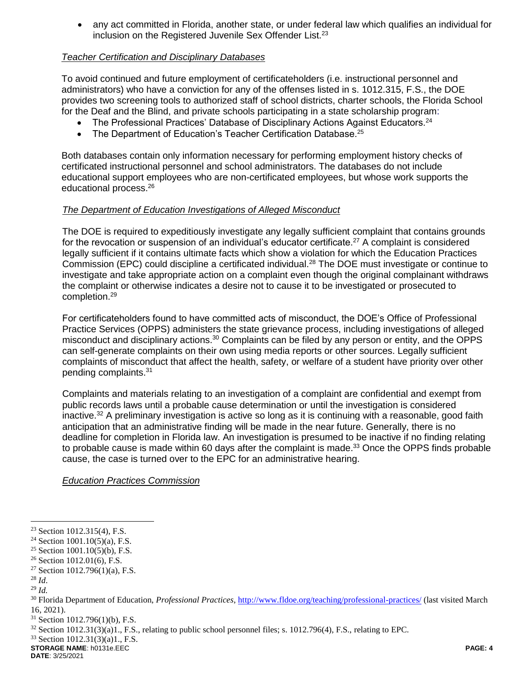any act committed in Florida, another state, or under federal law which qualifies an individual for inclusion on the Registered Juvenile Sex Offender List.<sup>23</sup>

### *Teacher Certification and Disciplinary Databases*

To avoid continued and future employment of certificateholders (i.e. instructional personnel and administrators) who have a conviction for any of the offenses listed in s. 1012.315, F.S., the DOE provides two screening tools to authorized staff of school districts, charter schools, the Florida School for the Deaf and the Blind, and private schools participating in a state scholarship program:

- The Professional Practices' Database of Disciplinary Actions Against Educators.<sup>24</sup>
- The Department of Education's Teacher Certification Database.<sup>25</sup>

Both databases contain only information necessary for performing employment history checks of certificated instructional personnel and school administrators. The databases do not include educational support employees who are non-certificated employees, but whose work supports the educational process.<sup>26</sup>

### *The Department of Education Investigations of Alleged Misconduct*

The DOE is required to expeditiously investigate any legally sufficient complaint that contains grounds for the revocation or suspension of an individual's educator certificate.<sup>27</sup> A complaint is considered legally sufficient if it contains ultimate facts which show a violation for which the Education Practices Commission (EPC) could discipline a certificated individual.<sup>28</sup> The DOE must investigate or continue to investigate and take appropriate action on a complaint even though the original complainant withdraws the complaint or otherwise indicates a desire not to cause it to be investigated or prosecuted to completion.<sup>29</sup>

For certificateholders found to have committed acts of misconduct, the DOE's Office of Professional Practice Services (OPPS) administers the state grievance process, including investigations of alleged misconduct and disciplinary actions.<sup>30</sup> Complaints can be filed by any person or entity, and the OPPS can self-generate complaints on their own using media reports or other sources. Legally sufficient complaints of misconduct that affect the health, safety, or welfare of a student have priority over other pending complaints.<sup>31</sup>

Complaints and materials relating to an investigation of a complaint are confidential and exempt from public records laws until a probable cause determination or until the investigation is considered inactive.<sup>32</sup> A preliminary investigation is active so long as it is continuing with a reasonable, good faith anticipation that an administrative finding will be made in the near future. Generally, there is no deadline for completion in Florida law. An investigation is presumed to be inactive if no finding relating to probable cause is made within 60 days after the complaint is made.<sup>33</sup> Once the OPPS finds probable cause, the case is turned over to the EPC for an administrative hearing.

*Education Practices Commission*

 $\overline{a}$ 

<sup>33</sup> Section 1012.31(3)(a)1., F.S.

**STORAGE NAME**: h0131e.EEC **PAGE: 4**

<sup>23</sup> Section 1012.315(4), F.S.

<sup>&</sup>lt;sup>24</sup> Section 1001.10(5)(a), F.S.

<sup>&</sup>lt;sup>25</sup> Section 1001.10(5)(b), F.S.

 $26$  Section 1012.01(6), F.S.

<sup>&</sup>lt;sup>27</sup> Section 1012.796(1)(a), F.S.

<sup>28</sup> *Id*.

<sup>29</sup> *Id.*

<sup>30</sup> Florida Department of Education, *Professional Practices*,<http://www.fldoe.org/teaching/professional-practices/> (last visited March 16, 2021).

 $31$  Section 1012.796(1)(b), F.S.

 $32$  Section 1012.31(3)(a)1., F.S., relating to public school personnel files; s. 1012.796(4), F.S., relating to EPC.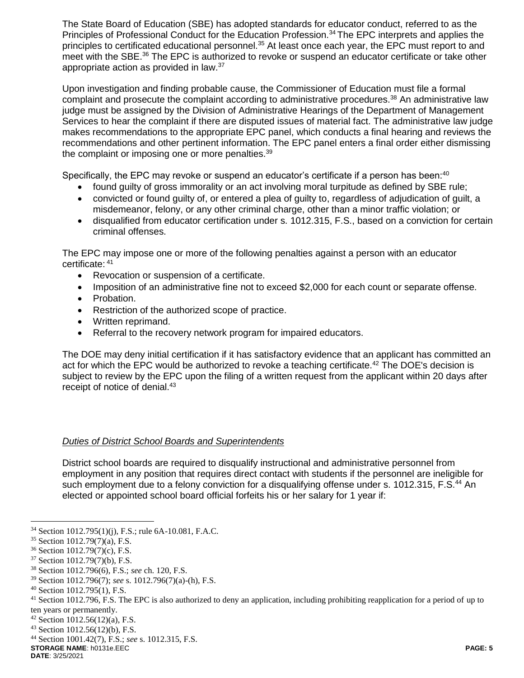The State Board of Education (SBE) has adopted standards for educator conduct, referred to as the Principles of Professional Conduct for the Education Profession.<sup>34</sup> The EPC interprets and applies the principles to certificated educational personnel.<sup>35</sup> At least once each year, the EPC must report to and meet with the SBE.<sup>36</sup> The EPC is authorized to revoke or suspend an educator certificate or take other appropriate action as provided in law.<sup>37</sup>

Upon investigation and finding probable cause, the Commissioner of Education must file a formal complaint and prosecute the complaint according to administrative procedures.<sup>38</sup> An administrative law judge must be assigned by the Division of Administrative Hearings of the Department of Management Services to hear the complaint if there are disputed issues of material fact. The administrative law judge makes recommendations to the appropriate EPC panel, which conducts a final hearing and reviews the recommendations and other pertinent information. The EPC panel enters a final order either dismissing the complaint or imposing one or more penalties.<sup>39</sup>

Specifically, the EPC may revoke or suspend an educator's certificate if a person has been:<sup>40</sup>

- found quilty of gross immorality or an act involving moral turpitude as defined by SBE rule;
- convicted or found guilty of, or entered a plea of guilty to, regardless of adjudication of guilt, a misdemeanor, felony, or any other criminal charge, other than a minor traffic violation; or
- disqualified from educator certification under s. 1012.315, F.S., based on a conviction for certain criminal offenses.

The EPC may impose one or more of the following penalties against a person with an educator certificate: <sup>41</sup>

- Revocation or suspension of a certificate.
- Imposition of an administrative fine not to exceed \$2,000 for each count or separate offense.
- Probation.
- Restriction of the authorized scope of practice.
- Written reprimand.
- Referral to the recovery network program for impaired educators.

The DOE may deny initial certification if it has satisfactory evidence that an applicant has committed an act for which the EPC would be authorized to revoke a teaching certificate.<sup>42</sup> The DOE's decision is subject to review by the EPC upon the filing of a written request from the applicant within 20 days after receipt of notice of denial.<sup>43</sup>

# *Duties of District School Boards and Superintendents*

District school boards are required to disqualify instructional and administrative personnel from employment in any position that requires direct contact with students if the personnel are ineligible for such employment due to a felony conviction for a disqualifying offense under s. 1012.315, F.S.<sup>44</sup> An elected or appointed school board official forfeits his or her salary for 1 year if:

<sup>34</sup> Section 1012.795(1)(j), F.S.; rule 6A-10.081, F.A.C.

<sup>35</sup> Section 1012.79(7)(a), F.S.

<sup>36</sup> Section 1012.79(7)(c), F.S.

<sup>37</sup> Section 1012.79(7)(b), F.S.

<sup>38</sup> Section 1012.796(6), F.S.; *see* ch. 120, F.S.

<sup>39</sup> Section 1012.796(7); *see* s. 1012.796(7)(a)-(h), F.S.

<sup>40</sup> Section 1012.795(1), F.S.

<sup>&</sup>lt;sup>41</sup> Section 1012.796, F.S. The EPC is also authorized to deny an application, including prohibiting reapplication for a period of up to ten years or permanently.

<sup>42</sup> Section 1012.56(12)(a), F.S.

<sup>43</sup> Section 1012.56(12)(b), F.S.

<sup>44</sup> Section 1001.42(7), F.S.; *see* s. 1012.315, F.S.

**STORAGE NAME**: h0131e.EEC **PAGE: 5**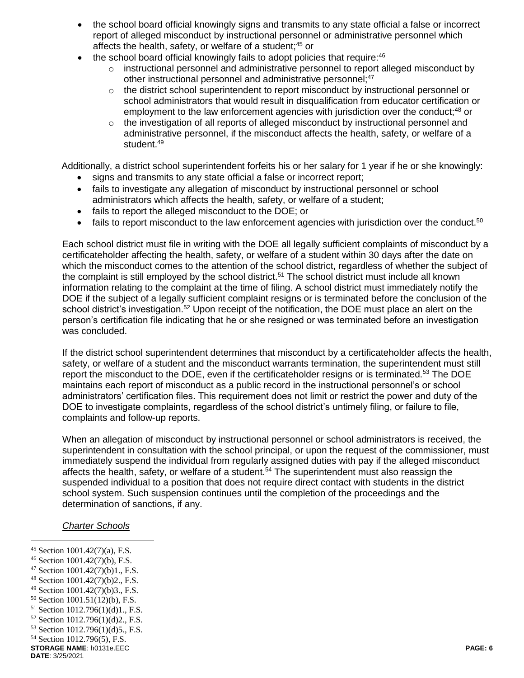- the school board official knowingly signs and transmits to any state official a false or incorrect report of alleged misconduct by instructional personnel or administrative personnel which affects the health, safety, or welfare of a student;<sup>45</sup> or
- $\bullet$  the school board official knowingly fails to adopt policies that require:  $46$ 
	- $\circ$  instructional personnel and administrative personnel to report alleged misconduct by other instructional personnel and administrative personnel;<sup>47</sup>
	- $\circ$  the district school superintendent to report misconduct by instructional personnel or school administrators that would result in disqualification from educator certification or employment to the law enforcement agencies with jurisdiction over the conduct;<sup>48</sup> or
	- o the investigation of all reports of alleged misconduct by instructional personnel and administrative personnel, if the misconduct affects the health, safety, or welfare of a student.<sup>49</sup>

Additionally, a district school superintendent forfeits his or her salary for 1 year if he or she knowingly:

- signs and transmits to any state official a false or incorrect report;
- fails to investigate any allegation of misconduct by instructional personnel or school administrators which affects the health, safety, or welfare of a student;
- fails to report the alleged misconduct to the DOE; or
- $\bullet$  fails to report misconduct to the law enforcement agencies with jurisdiction over the conduct.<sup>50</sup>

Each school district must file in writing with the DOE all legally sufficient complaints of misconduct by a certificateholder affecting the health, safety, or welfare of a student within 30 days after the date on which the misconduct comes to the attention of the school district, regardless of whether the subject of the complaint is still employed by the school district.<sup>51</sup> The school district must include all known information relating to the complaint at the time of filing. A school district must immediately notify the DOE if the subject of a legally sufficient complaint resigns or is terminated before the conclusion of the school district's investigation.<sup>52</sup> Upon receipt of the notification, the DOE must place an alert on the person's certification file indicating that he or she resigned or was terminated before an investigation was concluded.

If the district school superintendent determines that misconduct by a certificateholder affects the health, safety, or welfare of a student and the misconduct warrants termination, the superintendent must still report the misconduct to the DOE, even if the certificateholder resigns or is terminated.<sup>53</sup> The DOE maintains each report of misconduct as a public record in the instructional personnel's or school administrators' certification files. This requirement does not limit or restrict the power and duty of the DOE to investigate complaints, regardless of the school district's untimely filing, or failure to file, complaints and follow-up reports.

When an allegation of misconduct by instructional personnel or school administrators is received, the superintendent in consultation with the school principal, or upon the request of the commissioner, must immediately suspend the individual from regularly assigned duties with pay if the alleged misconduct affects the health, safety, or welfare of a student.<sup>54</sup> The superintendent must also reassign the suspended individual to a position that does not require direct contact with students in the district school system. Such suspension continues until the completion of the proceedings and the determination of sanctions, if any.

### *Charter Schools*

- $\overline{a}$ <sup>45</sup> Section 1001.42(7)(a), F.S.
- <sup>46</sup> Section 1001.42(7)(b), F.S.
- $47$  Section 1001.42(7)(b)1., F.S.
- <sup>48</sup> Section 1001.42(7)(b)2., F.S.
- <sup>49</sup> Section 1001.42(7)(b)3., F.S.
- <sup>50</sup> Section 1001.51(12)(b), F.S.
- <sup>51</sup> Section 1012.796(1)(d)1., F.S.
- <sup>52</sup> Section 1012.796(1)(d)2., F.S.
- <sup>53</sup> Section 1012.796(1)(d)5., F.S.
- <sup>54</sup> Section 1012.796(5), F.S.
- **STORAGE NAME**: h0131e.EEC **PAGE: 6**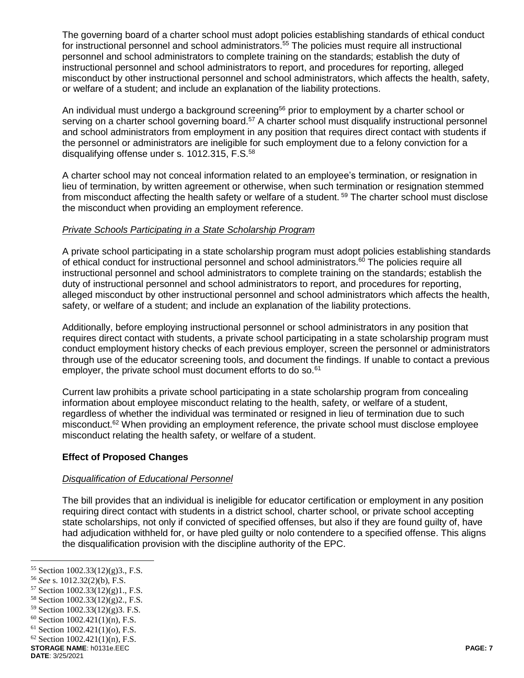The governing board of a charter school must adopt policies establishing standards of ethical conduct for instructional personnel and school administrators.<sup>55</sup> The policies must require all instructional personnel and school administrators to complete training on the standards; establish the duty of instructional personnel and school administrators to report, and procedures for reporting, alleged misconduct by other instructional personnel and school administrators, which affects the health, safety, or welfare of a student; and include an explanation of the liability protections.

An individual must undergo a background screening<sup>56</sup> prior to employment by a charter school or serving on a charter school governing board.<sup>57</sup> A charter school must disqualify instructional personnel and school administrators from employment in any position that requires direct contact with students if the personnel or administrators are ineligible for such employment due to a felony conviction for a disqualifying offense under s. 1012.315, F.S.<sup>58</sup>

A charter school may not conceal information related to an employee's termination, or resignation in lieu of termination, by written agreement or otherwise, when such termination or resignation stemmed from misconduct affecting the health safety or welfare of a student. <sup>59</sup> The charter school must disclose the misconduct when providing an employment reference.

# *Private Schools Participating in a State Scholarship Program*

A private school participating in a state scholarship program must adopt policies establishing standards of ethical conduct for instructional personnel and school administrators.<sup>60</sup> The policies require all instructional personnel and school administrators to complete training on the standards; establish the duty of instructional personnel and school administrators to report, and procedures for reporting, alleged misconduct by other instructional personnel and school administrators which affects the health, safety, or welfare of a student; and include an explanation of the liability protections.

Additionally, before employing instructional personnel or school administrators in any position that requires direct contact with students, a private school participating in a state scholarship program must conduct employment history checks of each previous employer, screen the personnel or administrators through use of the educator screening tools, and document the findings. If unable to contact a previous employer, the private school must document efforts to do so.<sup>61</sup>

Current law prohibits a private school participating in a state scholarship program from concealing information about employee misconduct relating to the health, safety, or welfare of a student, regardless of whether the individual was terminated or resigned in lieu of termination due to such misconduct.<sup>62</sup> When providing an employment reference, the private school must disclose employee misconduct relating the health safety, or welfare of a student.

# **Effect of Proposed Changes**

### *Disqualification of Educational Personnel*

The bill provides that an individual is ineligible for educator certification or employment in any position requiring direct contact with students in a district school, charter school, or private school accepting state scholarships, not only if convicted of specified offenses, but also if they are found guilty of, have had adjudication withheld for, or have pled guilty or nolo contendere to a specified offense. This aligns the disqualification provision with the discipline authority of the EPC.

<sup>55</sup> Section 1002.33(12)(g)3., F.S.

<sup>56</sup> *See* s. 1012.32(2)(b), F.S.

<sup>57</sup> Section 1002.33(12)(g)1., F.S.

<sup>58</sup> Section 1002.33(12)(g)2., F.S.

<sup>59</sup> Section 1002.33(12)(g)3. F.S.

 $60$  Section 1002.421(1)(n), F.S.

 $61$  Section 1002.421(1)(o), F.S.

 $62$  Section 1002.421(1)(n), F.S.

**STORAGE NAME**: h0131e.EEC **PAGE: 7**

**DATE**: 3/25/2021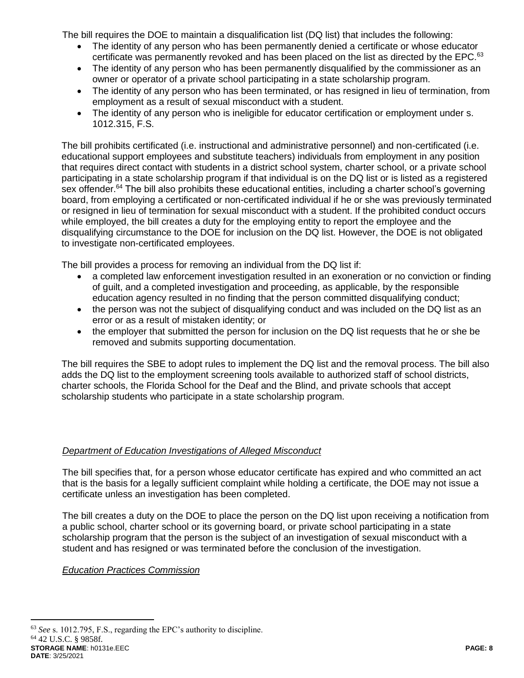The bill requires the DOE to maintain a disqualification list (DQ list) that includes the following:

- The identity of any person who has been permanently denied a certificate or whose educator certificate was permanently revoked and has been placed on the list as directed by the EPC. $63$
- The identity of any person who has been permanently disqualified by the commissioner as an owner or operator of a private school participating in a state scholarship program.
- The identity of any person who has been terminated, or has resigned in lieu of termination, from employment as a result of sexual misconduct with a student.
- The identity of any person who is ineligible for educator certification or employment under s. 1012.315, F.S.

The bill prohibits certificated (i.e. instructional and administrative personnel) and non-certificated (i.e. educational support employees and substitute teachers) individuals from employment in any position that requires direct contact with students in a district school system, charter school, or a private school participating in a state scholarship program if that individual is on the DQ list or is listed as a registered sex offender.<sup>64</sup> The bill also prohibits these educational entities, including a charter school's governing board, from employing a certificated or non-certificated individual if he or she was previously terminated or resigned in lieu of termination for sexual misconduct with a student. If the prohibited conduct occurs while employed, the bill creates a duty for the employing entity to report the employee and the disqualifying circumstance to the DOE for inclusion on the DQ list. However, the DOE is not obligated to investigate non-certificated employees.

The bill provides a process for removing an individual from the DQ list if:

- a completed law enforcement investigation resulted in an exoneration or no conviction or finding of guilt, and a completed investigation and proceeding, as applicable, by the responsible education agency resulted in no finding that the person committed disqualifying conduct;
- the person was not the subject of disqualifying conduct and was included on the DQ list as an error or as a result of mistaken identity; or
- the employer that submitted the person for inclusion on the DQ list requests that he or she be removed and submits supporting documentation.

The bill requires the SBE to adopt rules to implement the DQ list and the removal process. The bill also adds the DQ list to the employment screening tools available to authorized staff of school districts, charter schools, the Florida School for the Deaf and the Blind, and private schools that accept scholarship students who participate in a state scholarship program.

# *Department of Education Investigations of Alleged Misconduct*

The bill specifies that, for a person whose educator certificate has expired and who committed an act that is the basis for a legally sufficient complaint while holding a certificate, the DOE may not issue a certificate unless an investigation has been completed.

The bill creates a duty on the DOE to place the person on the DQ list upon receiving a notification from a public school, charter school or its governing board, or private school participating in a state scholarship program that the person is the subject of an investigation of sexual misconduct with a student and has resigned or was terminated before the conclusion of the investigation.

# *Education Practices Commission*

**STORAGE NAME**: h0131e.EEC **PAGE: 8 DATE**: 3/25/2021 <sup>63</sup> *See* s. 1012.795, F.S., regarding the EPC's authority to discipline. <sup>64</sup> 42 U.S.C. § 9858f.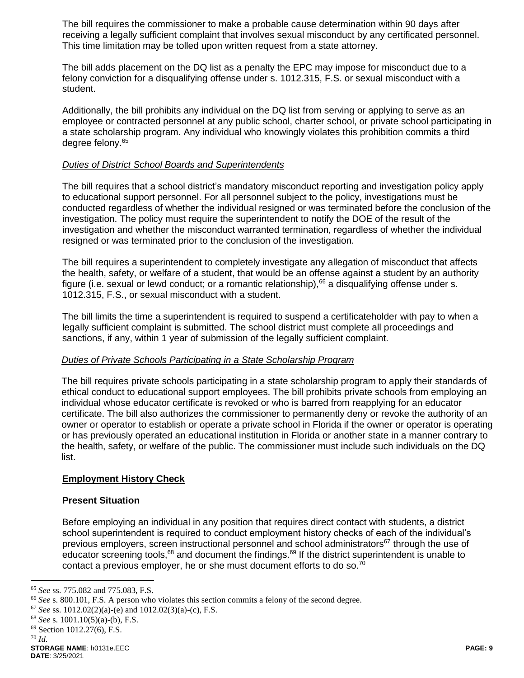The bill requires the commissioner to make a probable cause determination within 90 days after receiving a legally sufficient complaint that involves sexual misconduct by any certificated personnel. This time limitation may be tolled upon written request from a state attorney.

The bill adds placement on the DQ list as a penalty the EPC may impose for misconduct due to a felony conviction for a disqualifying offense under s. 1012.315, F.S. or sexual misconduct with a student.

Additionally, the bill prohibits any individual on the DQ list from serving or applying to serve as an employee or contracted personnel at any public school, charter school, or private school participating in a state scholarship program. Any individual who knowingly violates this prohibition commits a third degree felony.<sup>65</sup>

## *Duties of District School Boards and Superintendents*

The bill requires that a school district's mandatory misconduct reporting and investigation policy apply to educational support personnel. For all personnel subject to the policy, investigations must be conducted regardless of whether the individual resigned or was terminated before the conclusion of the investigation. The policy must require the superintendent to notify the DOE of the result of the investigation and whether the misconduct warranted termination, regardless of whether the individual resigned or was terminated prior to the conclusion of the investigation.

The bill requires a superintendent to completely investigate any allegation of misconduct that affects the health, safety, or welfare of a student, that would be an offense against a student by an authority figure (i.e. sexual or lewd conduct; or a romantic relationship),  $66$  a disqualifying offense under s. 1012.315, F.S., or sexual misconduct with a student.

The bill limits the time a superintendent is required to suspend a certificateholder with pay to when a legally sufficient complaint is submitted. The school district must complete all proceedings and sanctions, if any, within 1 year of submission of the legally sufficient complaint.

### *Duties of Private Schools Participating in a State Scholarship Program*

The bill requires private schools participating in a state scholarship program to apply their standards of ethical conduct to educational support employees. The bill prohibits private schools from employing an individual whose educator certificate is revoked or who is barred from reapplying for an educator certificate. The bill also authorizes the commissioner to permanently deny or revoke the authority of an owner or operator to establish or operate a private school in Florida if the owner or operator is operating or has previously operated an educational institution in Florida or another state in a manner contrary to the health, safety, or welfare of the public. The commissioner must include such individuals on the DQ list.

# **Employment History Check**

### **Present Situation**

Before employing an individual in any position that requires direct contact with students, a district school superintendent is required to conduct employment history checks of each of the individual's previous employers, screen instructional personnel and school administrators<sup>67</sup> through the use of educator screening tools,<sup>68</sup> and document the findings.<sup>69</sup> If the district superintendent is unable to contact a previous employer, he or she must document efforts to do so.<sup>70</sup>

<sup>65</sup> *See* ss. 775.082 and 775.083, F.S.

<sup>66</sup> *See* s. 800.101, F.S. A person who violates this section commits a felony of the second degree.

<sup>67</sup> *See* ss. 1012.02(2)(a)-(e) and 1012.02(3)(a)-(c), F.S.

<sup>68</sup> *See* s. 1001.10(5)(a)-(b), F.S.

<sup>69</sup> Section 1012.27(6), F.S.

<sup>70</sup> *Id.*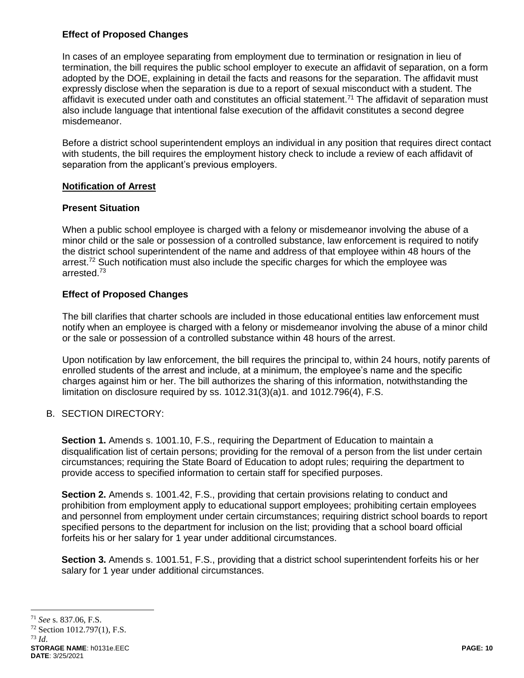## **Effect of Proposed Changes**

In cases of an employee separating from employment due to termination or resignation in lieu of termination, the bill requires the public school employer to execute an affidavit of separation, on a form adopted by the DOE, explaining in detail the facts and reasons for the separation. The affidavit must expressly disclose when the separation is due to a report of sexual misconduct with a student. The affidavit is executed under oath and constitutes an official statement.<sup>71</sup> The affidavit of separation must also include language that intentional false execution of the affidavit constitutes a second degree misdemeanor.

Before a district school superintendent employs an individual in any position that requires direct contact with students, the bill requires the employment history check to include a review of each affidavit of separation from the applicant's previous employers.

### **Notification of Arrest**

### **Present Situation**

When a public school employee is charged with a felony or misdemeanor involving the abuse of a minor child or the sale or possession of a controlled substance, law enforcement is required to notify the district school superintendent of the name and address of that employee within 48 hours of the arrest.<sup>72</sup> Such notification must also include the specific charges for which the employee was arrested.<sup>73</sup>

# **Effect of Proposed Changes**

The bill clarifies that charter schools are included in those educational entities law enforcement must notify when an employee is charged with a felony or misdemeanor involving the abuse of a minor child or the sale or possession of a controlled substance within 48 hours of the arrest.

Upon notification by law enforcement, the bill requires the principal to, within 24 hours, notify parents of enrolled students of the arrest and include, at a minimum, the employee's name and the specific charges against him or her. The bill authorizes the sharing of this information, notwithstanding the limitation on disclosure required by ss. 1012.31(3)(a)1. and 1012.796(4), F.S.

# B. SECTION DIRECTORY:

**Section 1.** Amends s. 1001.10, F.S., requiring the Department of Education to maintain a disqualification list of certain persons; providing for the removal of a person from the list under certain circumstances; requiring the State Board of Education to adopt rules; requiring the department to provide access to specified information to certain staff for specified purposes.

**Section 2.** Amends s. 1001.42, F.S., providing that certain provisions relating to conduct and prohibition from employment apply to educational support employees; prohibiting certain employees and personnel from employment under certain circumstances; requiring district school boards to report specified persons to the department for inclusion on the list; providing that a school board official forfeits his or her salary for 1 year under additional circumstances.

**Section 3.** Amends s. 1001.51, F.S., providing that a district school superintendent forfeits his or her salary for 1 year under additional circumstances.

<sup>71</sup> *See* s. 837.06, F.S.

<sup>72</sup> Section 1012.797(1), F.S.

**STORAGE NAME**: h0131e.EEC **PAGE: 10 DATE**: 3/25/2021 <sup>73</sup> *Id*.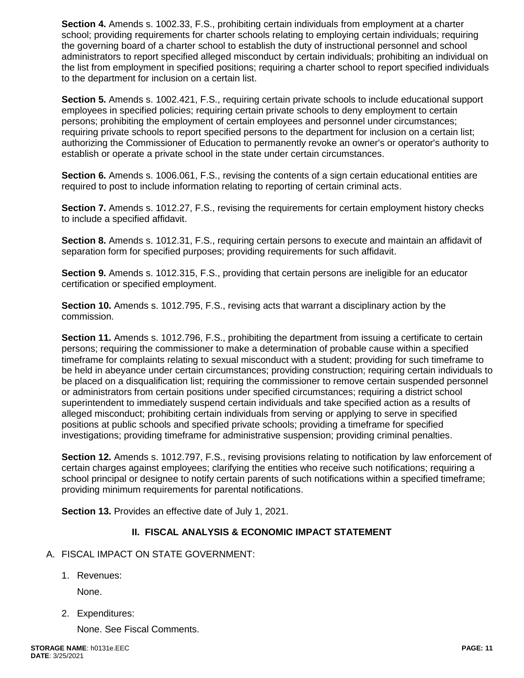**Section 4.** Amends s. 1002.33, F.S., prohibiting certain individuals from employment at a charter school; providing requirements for charter schools relating to employing certain individuals; requiring the governing board of a charter school to establish the duty of instructional personnel and school administrators to report specified alleged misconduct by certain individuals; prohibiting an individual on the list from employment in specified positions; requiring a charter school to report specified individuals to the department for inclusion on a certain list.

**Section 5.** Amends s. 1002.421, F.S., requiring certain private schools to include educational support employees in specified policies; requiring certain private schools to deny employment to certain persons; prohibiting the employment of certain employees and personnel under circumstances; requiring private schools to report specified persons to the department for inclusion on a certain list; authorizing the Commissioner of Education to permanently revoke an owner's or operator's authority to establish or operate a private school in the state under certain circumstances.

**Section 6.** Amends s. 1006.061, F.S., revising the contents of a sign certain educational entities are required to post to include information relating to reporting of certain criminal acts.

**Section 7.** Amends s. 1012.27, F.S., revising the requirements for certain employment history checks to include a specified affidavit.

**Section 8.** Amends s. 1012.31, F.S., requiring certain persons to execute and maintain an affidavit of separation form for specified purposes; providing requirements for such affidavit.

**Section 9.** Amends s. 1012.315, F.S., providing that certain persons are ineligible for an educator certification or specified employment.

**Section 10.** Amends s. 1012.795, F.S., revising acts that warrant a disciplinary action by the commission.

**Section 11.** Amends s. 1012.796, F.S., prohibiting the department from issuing a certificate to certain persons; requiring the commissioner to make a determination of probable cause within a specified timeframe for complaints relating to sexual misconduct with a student; providing for such timeframe to be held in abeyance under certain circumstances; providing construction; requiring certain individuals to be placed on a disqualification list; requiring the commissioner to remove certain suspended personnel or administrators from certain positions under specified circumstances; requiring a district school superintendent to immediately suspend certain individuals and take specified action as a results of alleged misconduct; prohibiting certain individuals from serving or applying to serve in specified positions at public schools and specified private schools; providing a timeframe for specified investigations; providing timeframe for administrative suspension; providing criminal penalties.

**Section 12.** Amends s. 1012.797, F.S., revising provisions relating to notification by law enforcement of certain charges against employees; clarifying the entities who receive such notifications; requiring a school principal or designee to notify certain parents of such notifications within a specified timeframe; providing minimum requirements for parental notifications.

**Section 13.** Provides an effective date of July 1, 2021.

# **II. FISCAL ANALYSIS & ECONOMIC IMPACT STATEMENT**

- A. FISCAL IMPACT ON STATE GOVERNMENT:
	- 1. Revenues:

None.

2. Expenditures:

None. See Fiscal Comments.